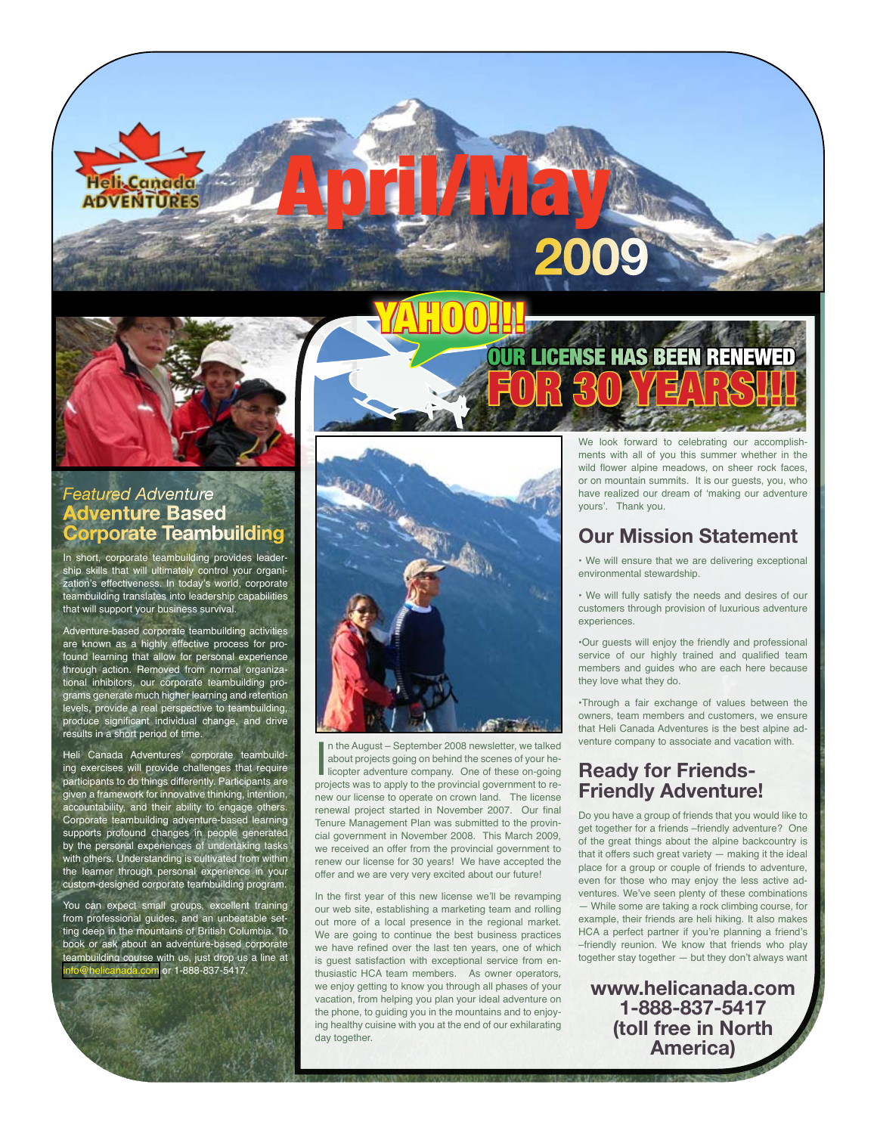

## *Featured Adventure* **Adventure Based Corporate Teambuilding**

In short, corporate teambuilding provides leadership skills that will ultimately control your organization's effectiveness. In today's world, corporate teambuilding translates into leadership capabilities that will support your business survival.

Adventure-based corporate teambuilding activities are known as a highly effective process for profound learning that allow for personal experience through action. Removed from normal organizational inhibitors, our corporate teambuilding programs generate much higher learning and retention levels, provide a real perspective to teambuilding, produce significant individual change, and drive results in a short period of time.

Heli Canada Adventures' corporate teambuilding exercises will provide challenges that require participants to do things differently. Participants are given a framework for innovative thinking, intention, accountability, and their ability to engage others. Corporate teambuilding adventure-based learning supports profound changes in people generated by the personal experiences of undertaking tasks with others. Understanding is cultivated from within the learner through personal experience in your custom-designed corporate teambuilding program.

You can expect small groups, excellent training from professional guides, and an unbeatable setting deep in the mountains of British Columbia. To book or ask about an adventure-based corporate teambuilding course with us, just drop us a line at com or 1-888-837-5417



April/May

YAHOO!!!

In the August – September 2008 newsletter, we talked<br>about projects going on behind the scenes of your he-<br>licopter adventure company. One of these on-going<br>projects was to apply to the provincial government to ren the August – September 2008 newsletter, we talked about projects going on behind the scenes of your helicopter adventure company. One of these on-going new our license to operate on crown land. The license renewal project started in November 2007. Our final Tenure Management Plan was submitted to the provincial government in November 2008. This March 2009, we received an offer from the provincial government to renew our license for 30 years! We have accepted the offer and we are very very excited about our future!

In the first year of this new license we'll be revamping our web site, establishing a marketing team and rolling out more of a local presence in the regional market. We are going to continue the best business practices we have refined over the last ten years, one of which is guest satisfaction with exceptional service from enthusiastic HCA team members. As owner operators, we enjoy getting to know you through all phases of your vacation, from helping you plan your ideal adventure on the phone, to guiding you in the mountains and to enjoying healthy cuisine with you at the end of our exhilarating day together.

We look forward to celebrating our accomplishments with all of you this summer whether in the wild flower alpine meadows, on sheer rock faces, or on mountain summits. It is our guests, you, who have realized our dream of 'making our adventure yours'. Thank you.

**LICENSE HAS BEEN RENEWED** 

For 30 Years!!!

**2009**

## **Our Mission Statement**

• We will ensure that we are delivering exceptional environmental stewardship.

• We will fully satisfy the needs and desires of our customers through provision of luxurious adventure experiences.

•Our guests will enjoy the friendly and professional service of our highly trained and qualified team members and guides who are each here because they love what they do.

•Through a fair exchange of values between the owners, team members and customers, we ensure that Heli Canada Adventures is the best alpine adventure company to associate and vacation with.

# **Ready for Friends-Friendly Adventure!**

Do you have a group of friends that you would like to get together for a friends –friendly adventure? One of the great things about the alpine backcountry is that it offers such great variety — making it the ideal place for a group or couple of friends to adventure, even for those who may enjoy the less active adventures. We've seen plenty of these combinations — While some are taking a rock climbing course, for example, their friends are heli hiking. It also makes HCA a perfect partner if you're planning a friend's –friendly reunion. We know that friends who play together stay together — but they don't always want

**www.helicanada.com 1-888-837-5417 (toll free in North America)**